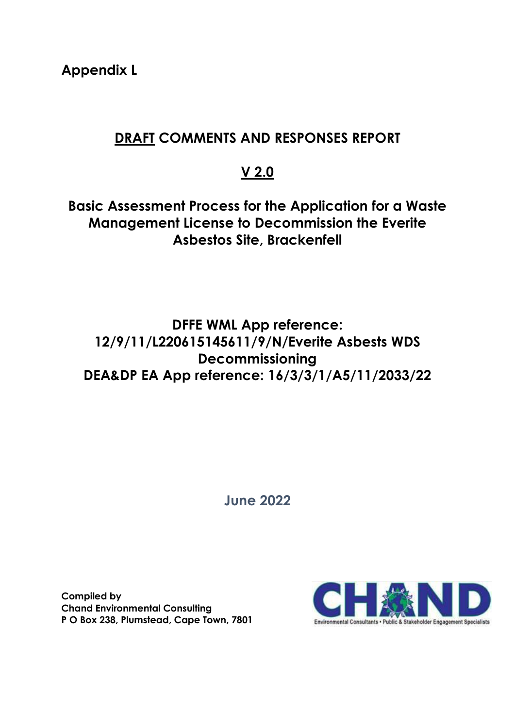**Appendix L**

## **DRAFT COMMENTS AND RESPONSES REPORT**

# **V 2.0**

**Basic Assessment Process for the Application for a Waste Management License to Decommission the Everite Asbestos Site, Brackenfell**

## **DFFE WML App reference: 12/9/11/L220615145611/9/N/Everite Asbests WDS Decommissioning DEA&DP EA App reference: 16/3/3/1/A5/11/2033/22**

**June 2022**

**Compiled by Chand Environmental Consulting P O Box 238, Plumstead, Cape Town, 7801**

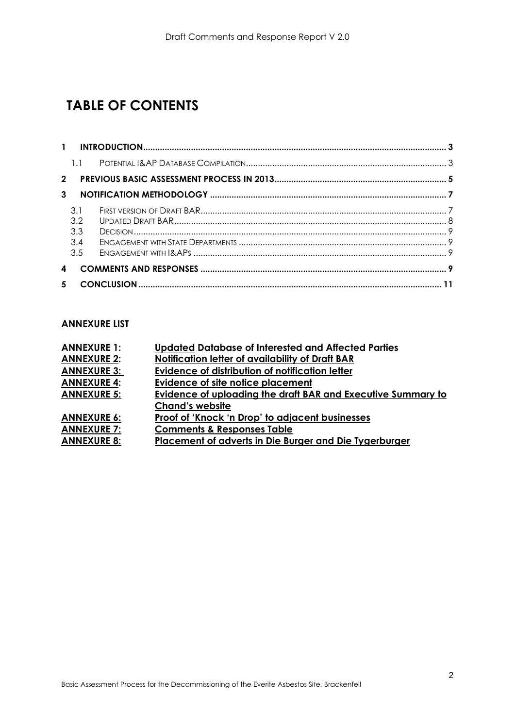# **TABLE OF CONTENTS**

| $\mathbf{1}$ |     |  |
|--------------|-----|--|
|              | 1.1 |  |
| $2^{\circ}$  |     |  |
| 3            |     |  |
|              | 3.1 |  |
|              | 3.2 |  |
|              | 3.3 |  |
|              | 3.4 |  |
|              | 3.5 |  |
| 4            |     |  |
| 5            |     |  |

#### **ANNEXURE LIST**

| <b>ANNEXURE 1:</b> | Updated Database of Interested and Affected Parties          |
|--------------------|--------------------------------------------------------------|
| <b>ANNEXURE 2:</b> | Notification letter of availability of Draft BAR             |
| <b>ANNEXURE 3:</b> | Evidence of distribution of notification letter              |
| <b>ANNEXURE 4:</b> | <b>Evidence of site notice placement</b>                     |
| <b>ANNEXURE 5:</b> | Evidence of uploading the draft BAR and Executive Summary to |
|                    | <b>Chand's website</b>                                       |
| <b>ANNEXURE 6:</b> | Proof of 'Knock 'n Drop' to adjacent businesses              |
| <b>ANNEXURE 7:</b> | <b>Comments &amp; Responses Table</b>                        |
| <b>ANNEXURE 8:</b> | Placement of adverts in Die Burger and Die Tygerburger       |
|                    |                                                              |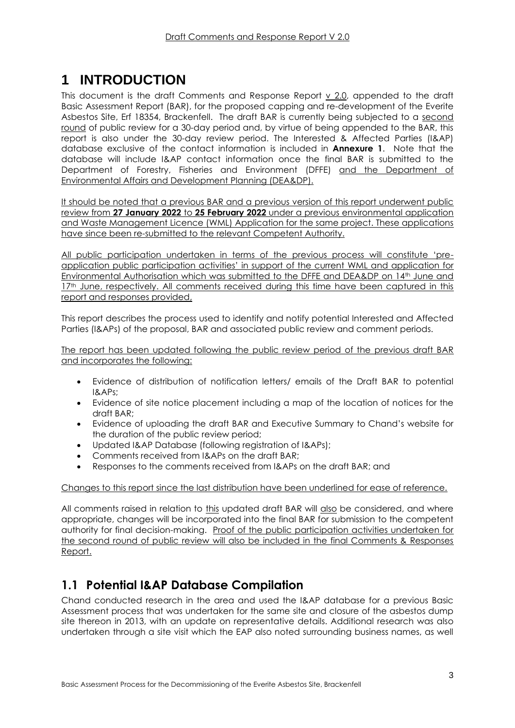# <span id="page-2-0"></span>**1 INTRODUCTION**

This document is the draft Comments and Response Report  $\underline{v}$  2.0, appended to the draft Basic Assessment Report (BAR), for the proposed capping and re-development of the Everite Asbestos Site, Erf 18354, Brackenfell. The draft BAR is currently being subjected to a second round of public review for a 30-day period and, by virtue of being appended to the BAR, this report is also under the 30-day review period. The Interested & Affected Parties (I&AP) database exclusive of the contact information is included in **Annexure 1**. Note that the database will include I&AP contact information once the final BAR is submitted to the Department of Forestry, Fisheries and Environment (DFFE) and the Department of Environmental Affairs and Development Planning (DEA&DP).

It should be noted that a previous BAR and a previous version of this report underwent public review from **27 January 2022** to **25 February 2022** under a previous environmental application and Waste Management Licence (WML) Application for the same project. These applications have since been re-submitted to the relevant Competent Authority.

All public participation undertaken in terms of the previous process will constitute 'preapplication public participation activities' in support of the current WML and application for Environmental Authorisation which was submitted to the DFFE and DEA&DP on 14th June and 17<sup>th</sup> June, respectively. All comments received during this time have been captured in this report and responses provided,

This report describes the process used to identify and notify potential Interested and Affected Parties (I&APs) of the proposal, BAR and associated public review and comment periods.

The report has been updated following the public review period of the previous draft BAR and incorporates the following:

- Evidence of distribution of notification letters/ emails of the Draft BAR to potential I&APs;
- Evidence of site notice placement including a map of the location of notices for the draft BAR;
- Evidence of uploading the draft BAR and Executive Summary to Chand's website for the duration of the public review period;
- Updated I&AP Database (following registration of I&APs);
- Comments received from I&APs on the draft BAR;
- Responses to the comments received from I&APs on the draft BAR; and

#### Changes to this report since the last distribution have been underlined for ease of reference.

All comments raised in relation to this updated draft BAR will also be considered, and where appropriate, changes will be incorporated into the final BAR for submission to the competent authority for final decision-making. Proof of the public participation activities undertaken for the second round of public review will also be included in the final Comments & Responses Report.

### <span id="page-2-1"></span>**1.1 Potential I&AP Database Compilation**

Chand conducted research in the area and used the I&AP database for a previous Basic Assessment process that was undertaken for the same site and closure of the asbestos dump site thereon in 2013, with an update on representative details. Additional research was also undertaken through a site visit which the EAP also noted surrounding business names, as well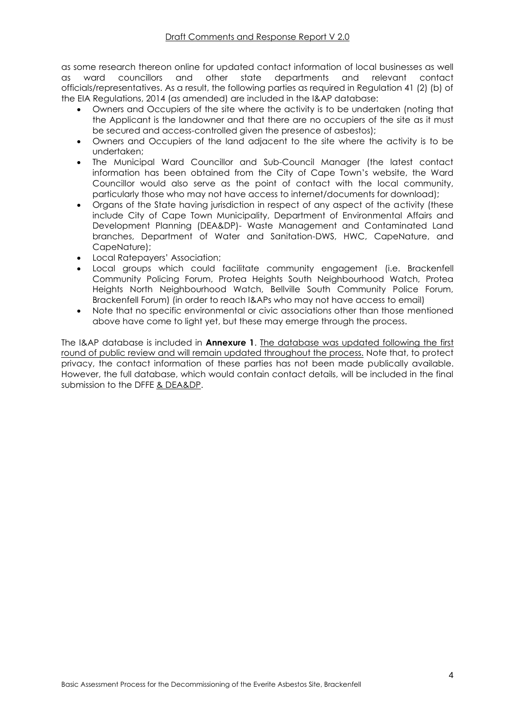as some research thereon online for updated contact information of local businesses as well as ward councillors and other state departments and relevant contact officials/representatives. As a result, the following parties as required in Regulation 41 (2) (b) of the EIA Regulations, 2014 (as amended) are included in the I&AP database:

- Owners and Occupiers of the site where the activity is to be undertaken (noting that the Applicant is the landowner and that there are no occupiers of the site as it must be secured and access-controlled given the presence of asbestos);
- Owners and Occupiers of the land adjacent to the site where the activity is to be undertaken;
- The Municipal Ward Councillor and Sub-Council Manager (the latest contact information has been obtained from the City of Cape Town's website, the Ward Councillor would also serve as the point of contact with the local community, particularly those who may not have access to internet/documents for download);
- Organs of the State having jurisdiction in respect of any aspect of the activity (these include City of Cape Town Municipality, Department of Environmental Affairs and Development Planning (DEA&DP)- Waste Management and Contaminated Land branches, Department of Water and Sanitation-DWS, HWC, CapeNature, and CapeNature);
- Local Ratepayers' Association;
- Local groups which could facilitate community engagement (i.e. Brackenfell Community Policing Forum, Protea Heights South Neighbourhood Watch, Protea Heights North Neighbourhood Watch, Bellville South Community Police Forum, Brackenfell Forum) (in order to reach I&APs who may not have access to email)
- Note that no specific environmental or civic associations other than those mentioned above have come to light yet, but these may emerge through the process.

The I&AP database is included in **Annexure 1**. The database was updated following the first round of public review and will remain updated throughout the process. Note that, to protect privacy, the contact information of these parties has not been made publically available. However, the full database, which would contain contact details, will be included in the final submission to the DFFE & DEA&DP.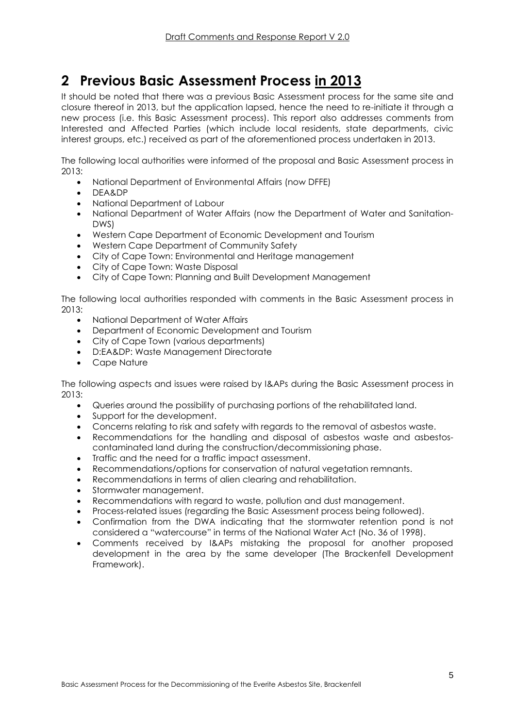## <span id="page-4-0"></span>**2 Previous Basic Assessment Process in 2013**

It should be noted that there was a previous Basic Assessment process for the same site and closure thereof in 2013, but the application lapsed, hence the need to re-initiate it through a new process (i.e. this Basic Assessment process). This report also addresses comments from Interested and Affected Parties (which include local residents, state departments, civic interest groups, etc.) received as part of the aforementioned process undertaken in 2013.

The following local authorities were informed of the proposal and Basic Assessment process in 2013:

- National Department of Environmental Affairs (now DFFE)
- DEA&DP
- National Department of Labour
- National Department of Water Affairs (now the Department of Water and Sanitation-DWS)
- Western Cape Department of Economic Development and Tourism
- Western Cape Department of Community Safety
- City of Cape Town: Environmental and Heritage management
- City of Cape Town: Waste Disposal
- City of Cape Town: Planning and Built Development Management

The following local authorities responded with comments in the Basic Assessment process in 2013:

- National Department of Water Affairs
- Department of Economic Development and Tourism
- City of Cape Town (various departments)
- D:EA&DP: Waste Management Directorate
- Cape Nature

The following aspects and issues were raised by I&APs during the Basic Assessment process in 2013:

- Queries around the possibility of purchasing portions of the rehabilitated land.
- Support for the development.
- Concerns relating to risk and safety with regards to the removal of asbestos waste.
- Recommendations for the handling and disposal of asbestos waste and asbestoscontaminated land during the construction/decommissioning phase.
- Traffic and the need for a traffic impact assessment.
- Recommendations/options for conservation of natural vegetation remnants.
- Recommendations in terms of alien clearing and rehabilitation.
- Stormwater management.
- Recommendations with regard to waste, pollution and dust management.
- Process-related issues (regarding the Basic Assessment process being followed).
- Confirmation from the DWA indicating that the stormwater retention pond is not considered a "watercourse" in terms of the National Water Act (No. 36 of 1998).
- Comments received by I&APs mistaking the proposal for another proposed development in the area by the same developer (The Brackenfell Development Framework).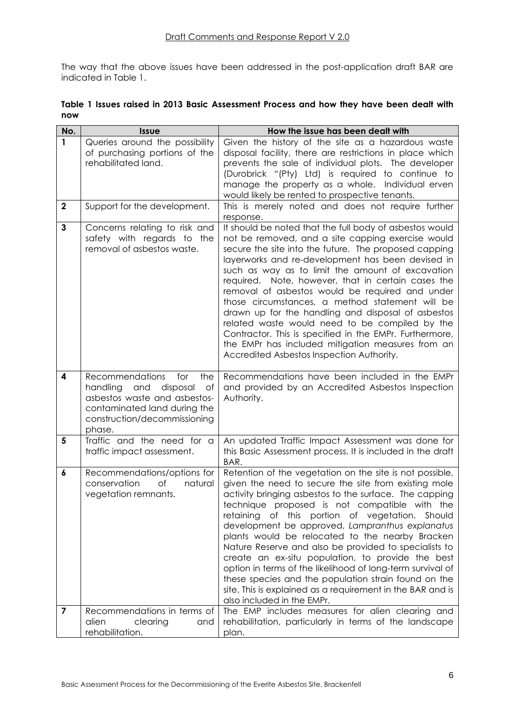The way that the above issues have been addressed in the post-application draft BAR are indicated in [Table 1.](#page-5-0)

<span id="page-5-0"></span>

|     |  |  | Table 1 Issues raised in 2013 Basic Assessment Process and how they have been dealt with |  |  |  |  |
|-----|--|--|------------------------------------------------------------------------------------------|--|--|--|--|
| now |  |  |                                                                                          |  |  |  |  |

| No.            | <b>Issue</b>                                                                                                                                                                        | How the issue has been dealt with                                                                                                                                                                                                                                                                                                                                                                                                                                                                                                                                                                                                                                                                                    |
|----------------|-------------------------------------------------------------------------------------------------------------------------------------------------------------------------------------|----------------------------------------------------------------------------------------------------------------------------------------------------------------------------------------------------------------------------------------------------------------------------------------------------------------------------------------------------------------------------------------------------------------------------------------------------------------------------------------------------------------------------------------------------------------------------------------------------------------------------------------------------------------------------------------------------------------------|
| $\mathbf{1}$   | Queries around the possibility<br>of purchasing portions of the<br>rehabilitated land.                                                                                              | Given the history of the site as a hazardous waste<br>disposal facility, there are restrictions in place which<br>prevents the sale of individual plots. The developer<br>(Durobrick "(Pty) Ltd) is required to continue to<br>manage the property as a whole. Individual erven<br>would likely be rented to prospective tenants.                                                                                                                                                                                                                                                                                                                                                                                    |
| $\mathbf{2}$   | Support for the development.                                                                                                                                                        | This is merely noted and does not require further<br>response.                                                                                                                                                                                                                                                                                                                                                                                                                                                                                                                                                                                                                                                       |
| $\overline{3}$ | Concerns relating to risk and<br>safety with regards to the<br>removal of asbestos waste.                                                                                           | It should be noted that the full body of asbestos would<br>not be removed, and a site capping exercise would<br>secure the site into the future. The proposed capping<br>layerworks and re-development has been devised in<br>such as way as to limit the amount of excavation<br>required. Note, however, that in certain cases the<br>removal of asbestos would be required and under<br>those circumstances, a method statement will be<br>drawn up for the handling and disposal of asbestos<br>related waste would need to be compiled by the<br>Contractor. This is specified in the EMPr. Furthermore,<br>the EMPr has included mitigation measures from an<br>Accredited Asbestos Inspection Authority.      |
| 4              | <b>Recommendations</b><br>for<br>the<br>handling<br>and<br>disposal<br>Οf<br>asbestos waste and asbestos-<br>contaminated land during the<br>construction/decommissioning<br>phase. | Recommendations have been included in the EMPr<br>and provided by an Accredited Asbestos Inspection<br>Authority.                                                                                                                                                                                                                                                                                                                                                                                                                                                                                                                                                                                                    |
| 5              | Traffic and the need for a<br>traffic impact assessment.                                                                                                                            | An updated Traffic Impact Assessment was done for<br>this Basic Assessment process. It is included in the draft<br>BAR.                                                                                                                                                                                                                                                                                                                                                                                                                                                                                                                                                                                              |
| 6              | Recommendations/options for<br>conservation<br>of<br>natural<br>vegetation remnants.                                                                                                | Retention of the vegetation on the site is not possible,<br>given the need to secure the site from existing mole<br>activity bringing asbestos to the surface. The capping<br>technique proposed is not compatible with the<br>retaining of this portion of vegetation. Should<br>development be approved, Lampranthus explanatus<br>plants would be relocated to the nearby Bracken<br>Nature Reserve and also be provided to specialists to<br>create an ex-situ population, to provide the best<br>option in terms of the likelihood of long-term survival of<br>these species and the population strain found on the<br>site. This is explained as a requirement in the BAR and is<br>also included in the EMPr. |
| 7              | Recommendations in terms of<br>alien<br>clearing<br>and<br>rehabilitation.                                                                                                          | The EMP includes measures for alien clearing and<br>rehabilitation, particularly in terms of the landscape<br>plan.                                                                                                                                                                                                                                                                                                                                                                                                                                                                                                                                                                                                  |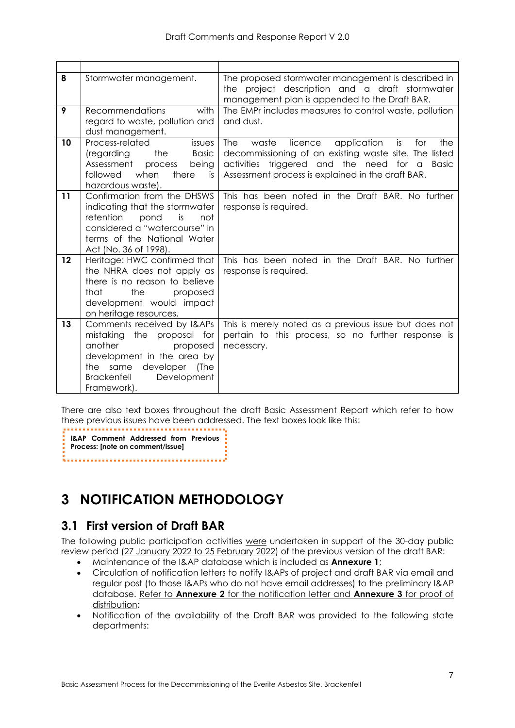| 8  | Stormwater management.                                                                                                                                                                       | The proposed stormwater management is described in<br>the project description and a draft stormwater<br>management plan is appended to the Draft BAR.                                                                               |
|----|----------------------------------------------------------------------------------------------------------------------------------------------------------------------------------------------|-------------------------------------------------------------------------------------------------------------------------------------------------------------------------------------------------------------------------------------|
| 9  | <b>Recommendations</b><br>with<br>regard to waste, pollution and<br>dust management.                                                                                                         | The EMPr includes measures to control waste, pollution<br>and dust.                                                                                                                                                                 |
| 10 | Process-related<br>issues<br>the Basic<br>(regarding<br>Assessment<br>being<br>process<br>there<br>followed<br>when<br>is<br>hazardous waste).                                               | The<br>waste<br>licence<br>application<br>is<br>for<br>the<br>decommissioning of an existing waste site. The listed<br>activities triggered and the need for a<br><b>Basic</b><br>Assessment process is explained in the draft BAR. |
| 11 | Confirmation from the DHSWS<br>indicating that the stormwater<br>retention<br>pond<br>is<br>not<br>considered a "watercourse" in<br>terms of the National Water<br>Act (No. 36 of 1998).     | This has been noted in the Draft BAR. No further<br>response is required.                                                                                                                                                           |
| 12 | Heritage: HWC confirmed that<br>the NHRA does not apply as<br>there is no reason to believe<br>that<br>the<br>proposed<br>development would impact<br>on heritage resources.                 | This has been noted in the Draft BAR. No further<br>response is required.                                                                                                                                                           |
| 13 | Comments received by I&APs<br>mistaking the proposal for<br>another<br>proposed<br>development in the area by<br>the same developer (The<br><b>Brackenfell</b><br>Development<br>Framework). | This is merely noted as a previous issue but does not<br>pertain to this process, so no further response is<br>necessary.                                                                                                           |

There are also text boxes throughout the draft Basic Assessment Report which refer to how these previous issues have been addressed. The text boxes look like this:

**I&AP Comment Addressed from Previous Process: [note on comment/issue]** 

# <span id="page-6-0"></span>**3 NOTIFICATION METHODOLOGY**

### <span id="page-6-1"></span>**3.1 First version of Draft BAR**

The following public participation activities were undertaken in support of the 30-day public review period (27 January 2022 to 25 February 2022) of the previous version of the draft BAR:

- Maintenance of the I&AP database which is included as **Annexure 1**;
- Circulation of notification letters to notify I&APs of project and draft BAR via email and regular post (to those I&APs who do not have email addresses) to the preliminary I&AP database. Refer to **Annexure 2** for the notification letter and **Annexure 3** for proof of distribution;
- Notification of the availability of the Draft BAR was provided to the following state departments: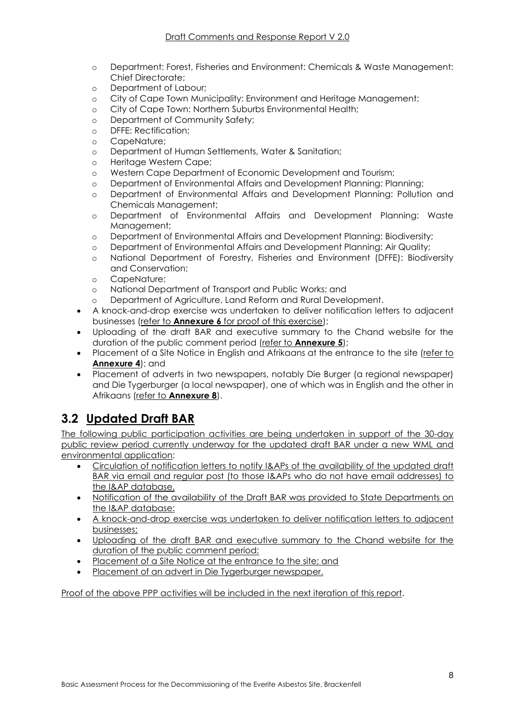- o Department: Forest, Fisheries and Environment: Chemicals & Waste Management: Chief Directorate;
- o Department of Labour;
- o City of Cape Town Municipality: Environment and Heritage Management;
- o City of Cape Town: Northern Suburbs Environmental Health;
- o Department of Community Safety;
- o DFFE: Rectification;
- o CapeNature;
- o Department of Human Settlements, Water & Sanitation;
- o Heritage Western Cape;
- o Western Cape Department of Economic Development and Tourism;
- o Department of Environmental Affairs and Development Planning: Planning;
- o Department of Environmental Affairs and Development Planning: Pollution and Chemicals Management;
- o Department of Environmental Affairs and Development Planning: Waste Management;
- o Department of Environmental Affairs and Development Planning: Biodiversity;
- o Department of Environmental Affairs and Development Planning: Air Quality;
- o National Department of Forestry, Fisheries and Environment (DFFE): Biodiversity and Conservation;
- o CapeNature;
- o National Department of Transport and Public Works; and
- o Department of Agriculture, Land Reform and Rural Development.
- A knock-and-drop exercise was undertaken to deliver notification letters to adjacent businesses (refer to **Annexure 6** for proof of this exercise);
- Uploading of the draft BAR and executive summary to the Chand website for the duration of the public comment period (refer to **Annexure 5**);
- Placement of a Site Notice in English and Afrikaans at the entrance to the site (refer to **Annexure 4**); and
- Placement of adverts in two newspapers, notably Die Burger (a regional newspaper) and Die Tygerburger (a local newspaper), one of which was in English and the other in Afrikaans (refer to **Annexure 8**).

### <span id="page-7-0"></span>**3.2 Updated Draft BAR**

The following public participation activities are being undertaken in support of the 30-day public review period currently underway for the updated draft BAR under a new WML and environmental application:

- Circulation of notification letters to notify I&APs of the availability of the updated draft BAR via email and regular post (to those I&APs who do not have email addresses) to the I&AP database.
- Notification of the availability of the Draft BAR was provided to State Departments on the I&AP database:
- A knock-and-drop exercise was undertaken to deliver notification letters to adjacent businesses;
- Uploading of the draft BAR and executive summary to the Chand website for the duration of the public comment period;
- Placement of a Site Notice at the entrance to the site; and
- Placement of an advert in Die Tygerburger newspaper.

Proof of the above PPP activities will be included in the next iteration of this report.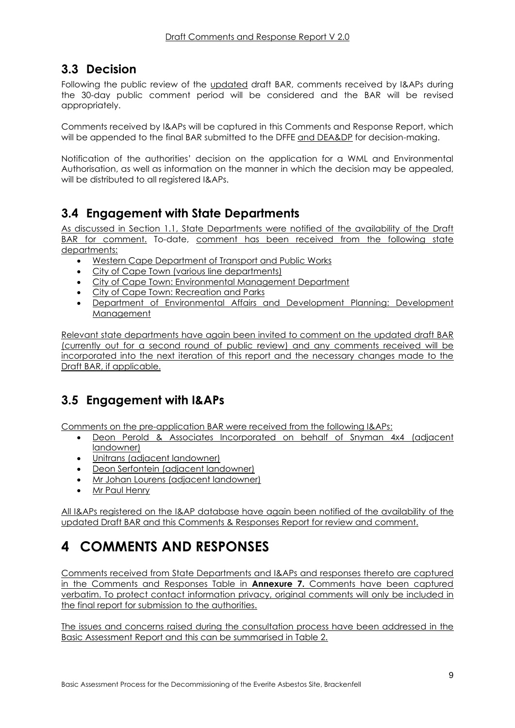### <span id="page-8-0"></span>**3.3 Decision**

Following the public review of the updated draft BAR, comments received by I&APs during the 30-day public comment period will be considered and the BAR will be revised appropriately.

Comments received by I&APs will be captured in this Comments and Response Report, which will be appended to the final BAR submitted to the DFFE and DEA&DP for decision-making.

Notification of the authorities' decision on the application for a WML and Environmental Authorisation, as well as information on the manner in which the decision may be appealed, will be distributed to all registered I&APs.

### <span id="page-8-1"></span>**3.4 Engagement with State Departments**

As discussed in Section 1.1, State Departments were notified of the availability of the Draft BAR for comment. To-date, comment has been received from the following state departments:

- Western Cape Department of Transport and Public Works
- City of Cape Town (various line departments)
- City of Cape Town: Environmental Management Department
- City of Cape Town: Recreation and Parks
- Department of Environmental Affairs and Development Planning: Development **Management**

Relevant state departments have again been invited to comment on the updated draft BAR (currently out for a second round of public review) and any comments received will be incorporated into the next iteration of this report and the necessary changes made to the Draft BAR, if applicable.

### <span id="page-8-2"></span>**3.5 Engagement with I&APs**

Comments on the pre-application BAR were received from the following I&APs:

- Deon Perold & Associates Incorporated on behalf of Snyman 4x4 (adjacent landowner)
- Unitrans (adjacent landowner)
- **Deon Serfontein (adjacent landowner)**
- Mr Johan Lourens (adjacent landowner)
- Mr Paul Henry

All I&APs registered on the I&AP database have again been notified of the availability of the updated Draft BAR and this Comments & Responses Report for review and comment.

# <span id="page-8-3"></span>**4 COMMENTS AND RESPONSES**

Comments received from State Departments and I&APs and responses thereto are captured in the Comments and Responses Table in **Annexure 7.** Comments have been captured verbatim. To protect contact information privacy, original comments will only be included in the final report for submission to the authorities.

The issues and concerns raised during the consultation process have been addressed in the Basic Assessment Report and this can be summarised in [Table 2.](#page-9-0)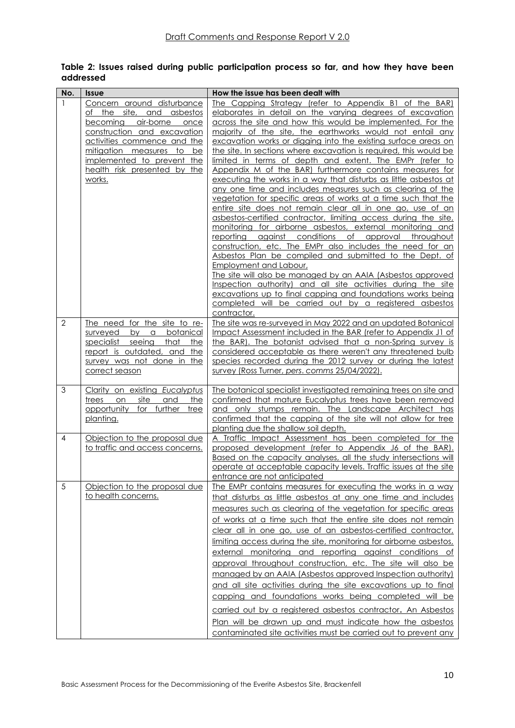| No.            | <b>Issue</b>                                                 | How the issue has been dealt with                                                                                            |
|----------------|--------------------------------------------------------------|------------------------------------------------------------------------------------------------------------------------------|
| $\mathbf{1}$   | Concern around disturbance                                   | The Capping Strategy (refer to Appendix B1 of the BAR)                                                                       |
|                | and asbestos<br><u>of the site,</u>                          | elaborates in detail on the varying degrees of excavation                                                                    |
|                | becoming<br>air-borne<br>once                                | across the site and how this would be implemented. For the                                                                   |
|                | construction and excavation                                  | majority of the site, the earthworks would not entail any                                                                    |
|                | activities commence and the                                  | excavation works or digging into the existing surface areas on                                                               |
|                | <u>mitigation measures to</u><br>be                          | the site. In sections where excavation is required, this would be                                                            |
|                | implemented to prevent the                                   | limited in terms of depth and extent. The EMPr (refer to                                                                     |
|                | health risk presented by the                                 | Appendix M of the BAR) furthermore contains measures for                                                                     |
|                | works.                                                       | executing the works in a way that disturbs as little asbestos at                                                             |
|                |                                                              | any one time and includes measures such as clearing of the                                                                   |
|                |                                                              | vegetation for specific areas of works at a time such that the<br>entire site does not remain clear all in one go, use of an |
|                |                                                              | asbestos-certified contractor, limiting access during the site,                                                              |
|                |                                                              | monitoring for airborne asbestos, external monitoring and                                                                    |
|                |                                                              | reporting against conditions of approval throughout                                                                          |
|                |                                                              | construction, etc. The EMPr also includes the need for an                                                                    |
|                |                                                              | Asbestos Plan be compiled and submitted to the Dept. of                                                                      |
|                |                                                              | <b>Employment and Labour,</b>                                                                                                |
|                |                                                              | The site will also be managed by an AAIA (Asbestos approved                                                                  |
|                |                                                              | Inspection authority) and all site activities during the site                                                                |
|                |                                                              | excavations up to final capping and foundations works being                                                                  |
|                |                                                              | completed will be carried out by a registered asbestos                                                                       |
| $\overline{2}$ | The need for the site to re-                                 | contractor.<br>The site was re-surveyed in May 2022 and an updated Botanical                                                 |
|                | botanical<br>surveyed<br>by a                                | Impact Assessment included in the BAR (refer to Appendix J1 of                                                               |
|                | that<br><u>specialist</u><br>seeing<br>the                   | the BAR). The botanist advised that a non-Spring survey is                                                                   |
|                | report is outdated, and the                                  | considered acceptable as there weren't any threatened bulb                                                                   |
|                | survey was not done in the                                   | species recorded during the 2012 survey or during the latest                                                                 |
|                | correct season                                               | survey (Ross Turner, pers. comms 25/04/2022).                                                                                |
|                |                                                              |                                                                                                                              |
| 3              | Clarity on existing Eucalyptus                               | The botanical specialist investigated remaining trees on site and                                                            |
|                | site<br>and<br>trees<br>on<br>the<br>opportunity for further | confirmed that mature Eucalyptus trees have been removed<br>and only stumps remain. The Landscape Architect has              |
|                | tree<br>planting.                                            | confirmed that the capping of the site will not allow for tree                                                               |
|                |                                                              | planting due the shallow soil depth.                                                                                         |
| $\overline{4}$ | Objection to the proposal due                                | A Traffic Impact Assessment has been completed for the                                                                       |
|                | to traffic and access concerns.                              | proposed development (refer to Appendix J6 of the BAR).                                                                      |
|                |                                                              | Based on the capacity analyses, all the study intersections will                                                             |
|                |                                                              | operate at acceptable capacity levels. Traffic issues at the site                                                            |
|                |                                                              | entrance are not anticipated                                                                                                 |
| 5              | Objection to the proposal due                                | The EMPr contains measures for executing the works in a way                                                                  |
|                | to health concerns.                                          | that disturbs as little asbestos at any one time and includes                                                                |
|                |                                                              | measures such as clearing of the vegetation for specific areas                                                               |
|                |                                                              | of works at a time such that the entire site does not remain                                                                 |
|                |                                                              | clear all in one go, use of an asbestos-certified contractor,                                                                |
|                |                                                              | limiting access during the site, monitoring for airborne asbestos,                                                           |
|                |                                                              | external monitoring and reporting against conditions of                                                                      |
|                |                                                              | approval throughout construction, etc. The site will also be                                                                 |
|                |                                                              | managed by an AAIA (Asbestos approved Inspection authority)                                                                  |
|                |                                                              | and all site activities during the site excavations up to final                                                              |
|                |                                                              | capping and foundations works being completed will be                                                                        |
|                |                                                              | carried out by a registered asbestos contractor. An Asbestos                                                                 |
|                |                                                              | Plan will be drawn up and must indicate how the asbestos                                                                     |
|                |                                                              | contaminated site activities must be carried out to prevent any                                                              |

<span id="page-9-0"></span>**Table 2: Issues raised during public participation process so far, and how they have been addressed**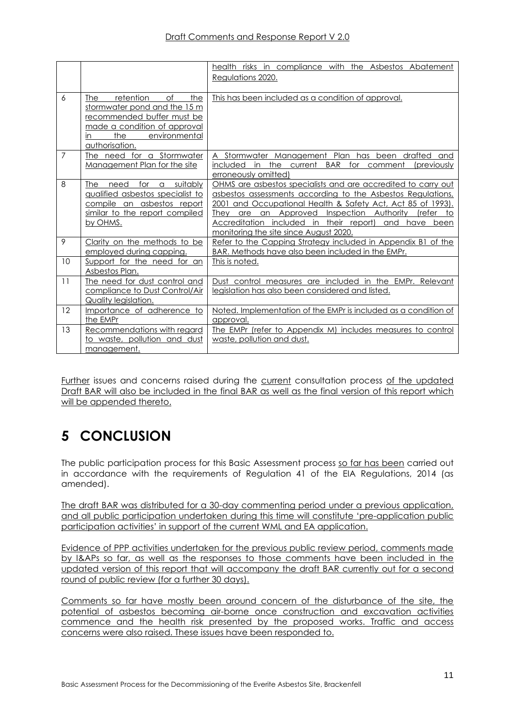|                |                                                                                                                                                                              | health risks in compliance with the Asbestos Abatement                                                                                                                                                                                                                                                                                                                                    |
|----------------|------------------------------------------------------------------------------------------------------------------------------------------------------------------------------|-------------------------------------------------------------------------------------------------------------------------------------------------------------------------------------------------------------------------------------------------------------------------------------------------------------------------------------------------------------------------------------------|
|                |                                                                                                                                                                              | Reaulations 2020.                                                                                                                                                                                                                                                                                                                                                                         |
|                |                                                                                                                                                                              |                                                                                                                                                                                                                                                                                                                                                                                           |
| 6              | of<br>retention<br>the<br>The<br>stormwater pond and the 15 m<br>recommended buffer must be<br>made a condition of approval<br>the<br>environmental<br>in.<br>authorisation. | This has been included as a condition of approval.                                                                                                                                                                                                                                                                                                                                        |
| $\overline{7}$ | The need for a Stormwater<br>Management Plan for the site                                                                                                                    | Stormwater Management Plan has<br>been drafted<br>and<br>included in the current BAR for comment<br><i>(previously)</i><br>erroneously omitted)                                                                                                                                                                                                                                           |
| 8              | for a suitably<br>The<br>need<br>qualified asbestos specialist to<br>compile an asbestos report<br>similar to the report compiled<br>by OHMS.                                | OHMS are asbestos specialists and are accredited to carry out<br>asbestos assessments according to the Asbestos Regulations,<br>2001 and Occupational Health & Safety Act, Act 85 of 1993).<br>are an Approved Inspection Authority<br><i><u><b>Irefer</b></u></i><br>They<br>to<br>Accreditation included in their report)<br>and<br>have been<br>monitoring the site since August 2020. |
| 9              | Clarity on the methods to be<br>employed during capping.                                                                                                                     | Refer to the Capping Strategy included in Appendix B1 of the<br>BAR. Methods have also been included in the EMPr.                                                                                                                                                                                                                                                                         |
| 10             | Support for the need for an<br>Asbestos Plan.                                                                                                                                | This is noted.                                                                                                                                                                                                                                                                                                                                                                            |
| 11             | The need for dust control and<br>compliance to Dust Control/Air<br><b>Quality legislation.</b>                                                                               | Dust control measures are included in the EMPr. Relevant<br>legislation has also been considered and listed.                                                                                                                                                                                                                                                                              |
| 12             | Importance of adherence to<br>the EMPr                                                                                                                                       | Noted. Implementation of the EMPr is included as a condition of<br>approval.                                                                                                                                                                                                                                                                                                              |
| 13             | Recommendations with regard<br>to waste, pollution and dust<br>management.                                                                                                   | The EMPr (refer to Appendix M) includes measures to control<br>waste, pollution and dust.                                                                                                                                                                                                                                                                                                 |

Further issues and concerns raised during the current consultation process of the updated Draft BAR will also be included in the final BAR as well as the final version of this report which will be appended thereto.

# <span id="page-10-0"></span>**5 CONCLUSION**

The public participation process for this Basic Assessment process so far has been carried out in accordance with the requirements of Regulation 41 of the EIA Regulations, 2014 (as amended).

The draft BAR was distributed for a 30-day commenting period under a previous application, and all public participation undertaken during this time will constitute 'pre-application public participation activities' in support of the current WML and EA application.

Evidence of PPP activities undertaken for the previous public review period, comments made by I&APs so far, as well as the responses to those comments have been included in the updated version of this report that will accompany the draft BAR currently out for a second round of public review (for a further 30 days).

Comments so far have mostly been around concern of the disturbance of the site, the potential of asbestos becoming air-borne once construction and excavation activities commence and the health risk presented by the proposed works. Traffic and access concerns were also raised. These issues have been responded to.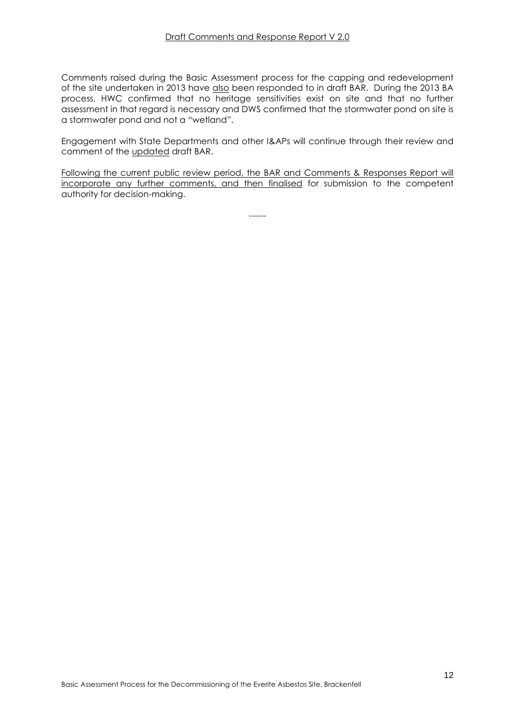Comments raised during the Basic Assessment process for the capping and redevelopment of the site undertaken in 2013 have also been responded to in draft BAR. During the 2013 BA process, HWC confirmed that no heritage sensitivities exist on site and that no further assessment in that regard is necessary and DWS confirmed that the stormwater pond on site is a stormwater pond and not a "wetland".

Engagement with State Departments and other I&APs will continue through their review and comment of the updated draft BAR.

Following the current public review period, the BAR and Comments & Responses Report will incorporate any further comments, and then finalised for submission to the competent authority for decision-making.